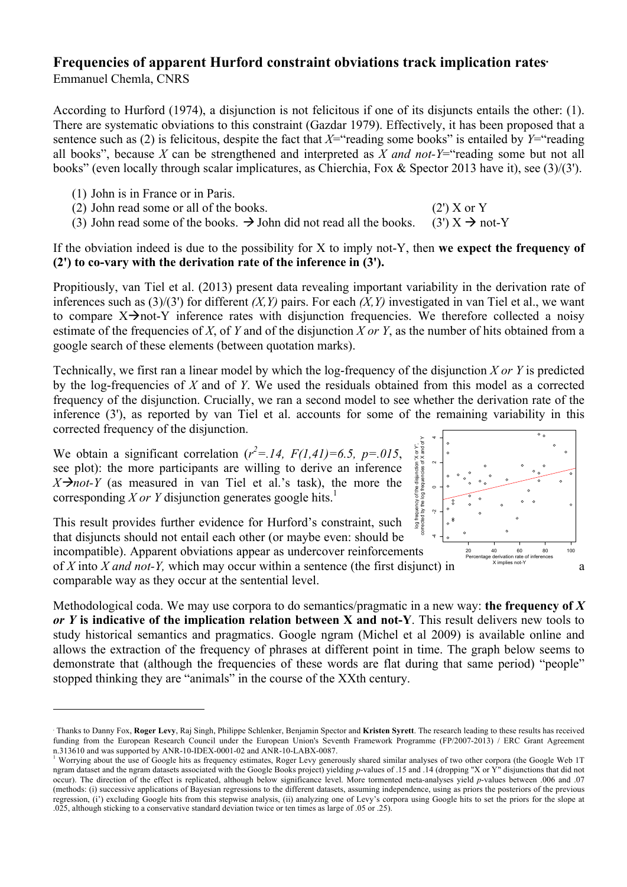## **Frequencies of apparent Hurford constraint obviations track implication rates**<sup>∗</sup> Emmanuel Chemla, CNRS

According to Hurford (1974), a disjunction is not felicitous if one of its disjuncts entails the other: (1). There are systematic obviations to this constraint (Gazdar 1979). Effectively, it has been proposed that a sentence such as (2) is felicitous, despite the fact that  $X=$ "reading some books" is entailed by  $Y=$ "reading all books", because *X* can be strengthened and interpreted as *X and not-Y*="reading some but not all books" (even locally through scalar implicatures, as Chierchia, Fox & Spector 2013 have it), see (3)/(3').

(1) John is in France or in Paris.

 

- (2) John read some or all of the books. (2') X or Y
	- (3) John read some of the books.  $\rightarrow$  John did not read all the books. (3')  $X \rightarrow$  not-Y

If the obviation indeed is due to the possibility for X to imply not-Y, then **we expect the frequency of (2') to co-vary with the derivation rate of the inference in (3').**

Propitiously, van Tiel et al. (2013) present data revealing important variability in the derivation rate of inferences such as (3)/(3') for different *(X,Y)* pairs. For each *(X,Y)* investigated in van Tiel et al., we want to compare  $X \rightarrow not-Y$  inference rates with disjunction frequencies. We therefore collected a noisy estimate of the frequencies of *X*, of *Y* and of the disjunction *X or Y*, as the number of hits obtained from a google search of these elements (between quotation marks).

Technically, we first ran a linear model by which the log-frequency of the disjunction *X or Y* is predicted by the log-frequencies of *X* and of *Y*. We used the residuals obtained from this model as a corrected frequency of the disjunction. Crucially, we ran a second model to see whether the derivation rate of the inference (3'), as reported by van Tiel et al. accounts for some of the remaining variability in this corrected frequency of the disjunction.

We obtain a significant correlation  $(r^2 = .14, F(1,41)=6.5, p = .015,$ see plot): the more participants are willing to derive an inference  $X \rightarrow not-Y$  (as measured in van Tiel et al.'s task), the more the corresponding *X or Y* disjunction generates google hits. 1

This result provides further evidence for Hurford's constraint, such that disjuncts should not entail each other (or maybe even: should be log frequency of the disjunction 'X or Y',

incompatible). Apparent obviations appear as undercover reinforcements of X into X and not-Y, which may occur within a sentence (the first disjunct) in  $\frac{X \text{ implies not } Y}{X}$  a comparable way as they occur at the sentential level.



Methodological coda. We may use corpora to do semantics/pragmatic in a new way: **the frequency of** *X or Y* **is indicative of the implication relation between X and not-Y**. This result delivers new tools to study historical semantics and pragmatics. Google ngram (Michel et al 2009) is available online and allows the extraction of the frequency of phrases at different point in time. The graph below seems to demonstrate that (although the frequencies of these words are flat during that same period) "people" stopped thinking they are "animals" in the course of the XXth century.

<sup>∗</sup> Thanks to Danny Fox, **Roger Levy**, Raj Singh, Philippe Schlenker, Benjamin Spector and **Kristen Syrett**. The research leading to these results has received funding from the European Research Council under the European Union's Seventh Framework Programme (FP/2007-2013) / ERC Grant Agreement n.313610 and was supported by ANR-10-IDEX-0001-02 and ANR-10-LABX-0087.

<sup>&</sup>lt;sup>1</sup> Worrying about the use of Google hits as frequency estimates, Roger Levy generously shared similar analyses of two other corpora (the Google Web 1T ngram dataset and the ngram datasets associated with the Google Books project) yielding *p*-values of .15 and .14 (dropping "X or Y" disjunctions that did not occur). The direction of the effect is replicated, although below significance level. More tormented meta-analyses yield *p*-values between .006 and .07 (methods: (i) successive applications of Bayesian regressions to the different datasets, assuming independence, using as priors the posteriors of the previous regression, (i') excluding Google hits from this stepwise analysis, (ii) analyzing one of Levy's corpora using Google hits to set the priors for the slope at .025, although sticking to a conservative standard deviation twice or ten times as large of .05 or .25).